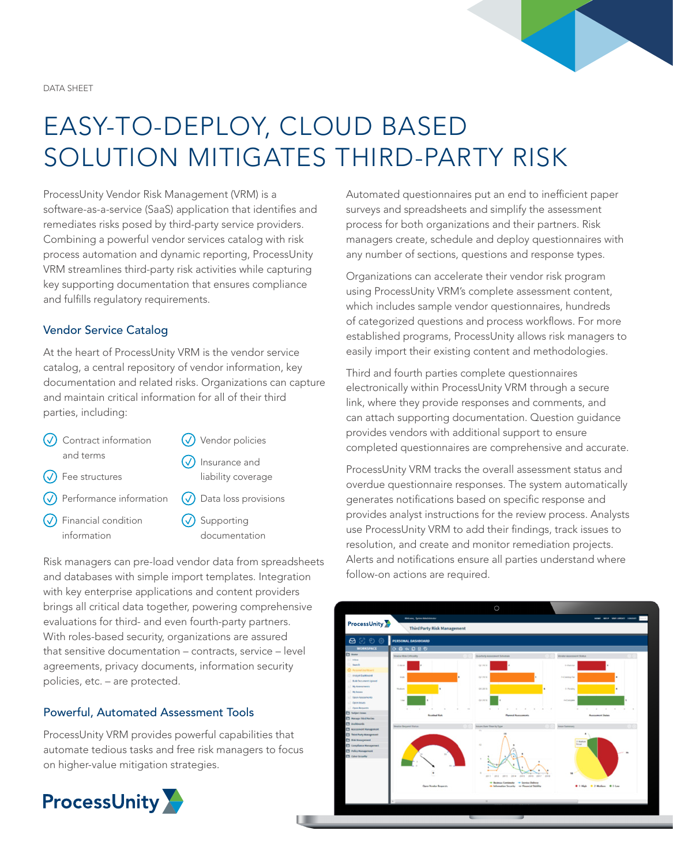DATA SHEET

# EASY-TO-DEPLOY, CLOUD BASED SOLUTION MITIGATES THIRD-PARTY RISK

ProcessUnity Vendor Risk Management (VRM) is a software-as-a-service (SaaS) application that identifies and remediates risks posed by third-party service providers. Combining a powerful vendor services catalog with risk process automation and dynamic reporting, ProcessUnity VRM streamlines third-party risk activities while capturing key supporting documentation that ensures compliance and fulfills regulatory requirements.

# Vendor Service Catalog

At the heart of ProcessUnity VRM is the vendor service catalog, a central repository of vendor information, key documentation and related risks. Organizations can capture and maintain critical information for all of their third parties, including:

- $\sqrt{\phantom{a}}$  Contract information and terms
- $\omega$  Vendor policies
- $\sqrt{\phantom{a}}$  Fee structures
- Performance information
- Financial condition information
- $\sqrt{\phantom{a}}$  Insurance and liability coverage
- $\sqrt{\phantom{a}}$  Data loss provisions
- $\omega$  Supporting documentation

Risk managers can pre-load vendor data from spreadsheets and databases with simple import templates. Integration with key enterprise applications and content providers brings all critical data together, powering comprehensive evaluations for third- and even fourth-party partners. With roles-based security, organizations are assured that sensitive documentation – contracts, service – level agreements, privacy documents, information security policies, etc. – are protected.

# Powerful, Automated Assessment Tools

ProcessUnity VRM provides powerful capabilities that automate tedious tasks and free risk managers to focus on higher-value mitigation strategies.



Automated questionnaires put an end to inefficient paper surveys and spreadsheets and simplify the assessment process for both organizations and their partners. Risk managers create, schedule and deploy questionnaires with any number of sections, questions and response types.

Organizations can accelerate their vendor risk program using ProcessUnity VRM's complete assessment content, which includes sample vendor questionnaires, hundreds of categorized questions and process workflows. For more established programs, ProcessUnity allows risk managers to easily import their existing content and methodologies.

Third and fourth parties complete questionnaires electronically within ProcessUnity VRM through a secure link, where they provide responses and comments, and can attach supporting documentation. Question guidance provides vendors with additional support to ensure completed questionnaires are comprehensive and accurate.

ProcessUnity VRM tracks the overall assessment status and overdue questionnaire responses. The system automatically generates notifications based on specific response and provides analyst instructions for the review process. Analysts use ProcessUnity VRM to add their findings, track issues to resolution, and create and monitor remediation projects. Alerts and notifications ensure all parties understand where follow-on actions are required.